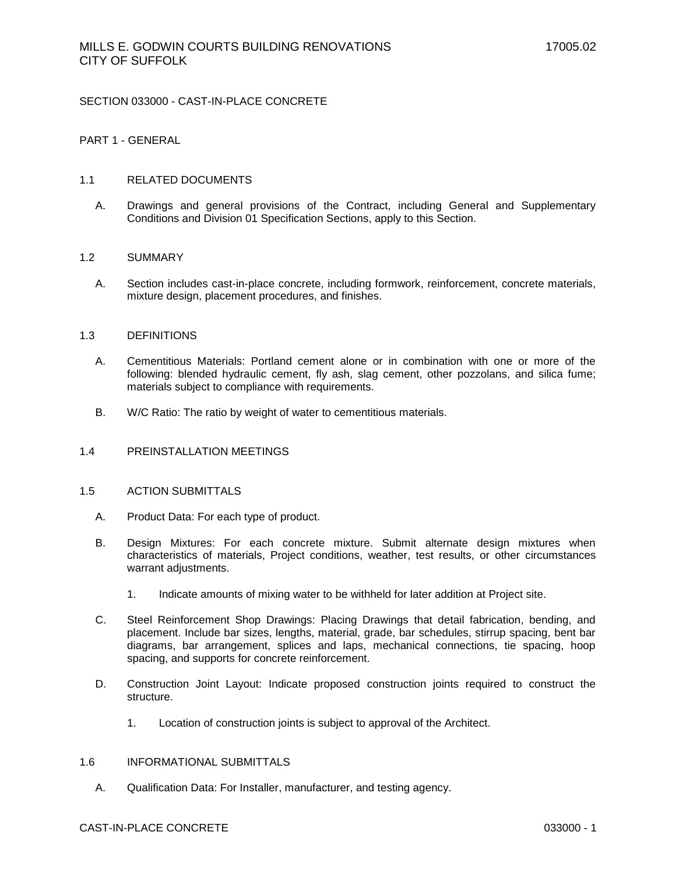### SECTION 033000 - CAST-IN-PLACE CONCRETE

### PART 1 - GENERAL

#### 1.1 RELATED DOCUMENTS

A. Drawings and general provisions of the Contract, including General and Supplementary Conditions and Division 01 Specification Sections, apply to this Section.

#### 1.2 SUMMARY

A. Section includes cast-in-place concrete, including formwork, reinforcement, concrete materials, mixture design, placement procedures, and finishes.

#### 1.3 DEFINITIONS

- A. Cementitious Materials: Portland cement alone or in combination with one or more of the following: blended hydraulic cement, fly ash, slag cement, other pozzolans, and silica fume; materials subject to compliance with requirements.
- B. W/C Ratio: The ratio by weight of water to cementitious materials.

# 1.4 PREINSTALLATION MEETINGS

#### 1.5 ACTION SUBMITTALS

- A. Product Data: For each type of product.
- B. Design Mixtures: For each concrete mixture. Submit alternate design mixtures when characteristics of materials, Project conditions, weather, test results, or other circumstances warrant adjustments.
	- 1. Indicate amounts of mixing water to be withheld for later addition at Project site.
- C. Steel Reinforcement Shop Drawings: Placing Drawings that detail fabrication, bending, and placement. Include bar sizes, lengths, material, grade, bar schedules, stirrup spacing, bent bar diagrams, bar arrangement, splices and laps, mechanical connections, tie spacing, hoop spacing, and supports for concrete reinforcement.
- D. Construction Joint Layout: Indicate proposed construction joints required to construct the structure.
	- 1. Location of construction joints is subject to approval of the Architect.

#### 1.6 INFORMATIONAL SUBMITTALS

A. Qualification Data: For Installer, manufacturer, and testing agency.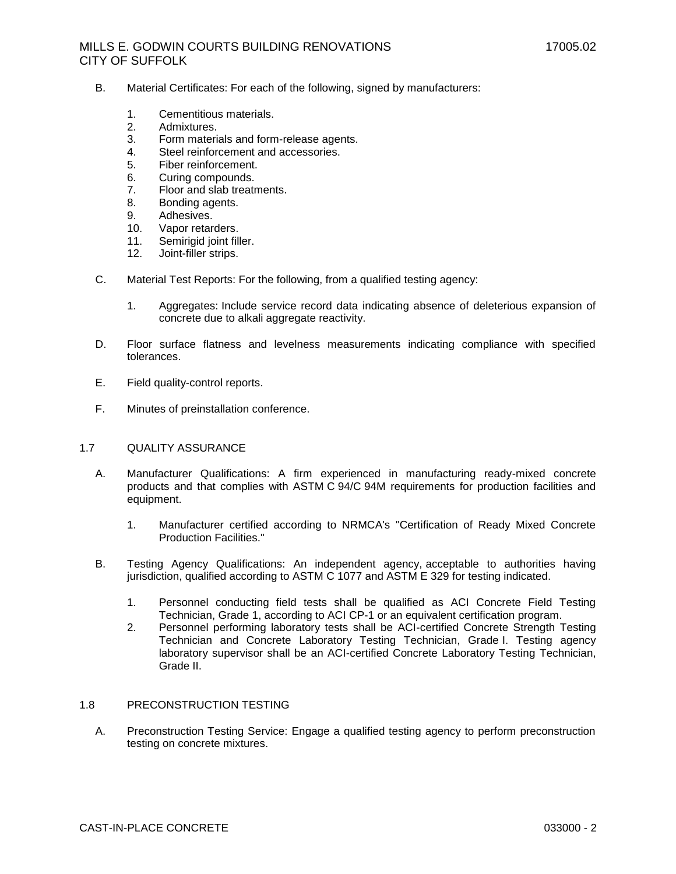- B. Material Certificates: For each of the following, signed by manufacturers:
	- 1. Cementitious materials.
	- 2. Admixtures.
	- 3. Form materials and form-release agents.
	- 4. Steel reinforcement and accessories.
	- 5. Fiber reinforcement.
	- 6. Curing compounds.
	- 7. Floor and slab treatments.
	- 8. Bonding agents.
	- 9. Adhesives.
	- 10. Vapor retarders.
	- 11. Semirigid joint filler.
	- 12. Joint-filler strips.
- C. Material Test Reports: For the following, from a qualified testing agency:
	- 1. Aggregates: Include service record data indicating absence of deleterious expansion of concrete due to alkali aggregate reactivity.
- D. Floor surface flatness and levelness measurements indicating compliance with specified tolerances.
- E. Field quality-control reports.
- F. Minutes of preinstallation conference.

### 1.7 QUALITY ASSURANCE

- A. Manufacturer Qualifications: A firm experienced in manufacturing ready-mixed concrete products and that complies with ASTM C 94/C 94M requirements for production facilities and equipment.
	- 1. Manufacturer certified according to NRMCA's "Certification of Ready Mixed Concrete Production Facilities."
- B. Testing Agency Qualifications: An independent agency, acceptable to authorities having jurisdiction, qualified according to ASTM C 1077 and ASTM E 329 for testing indicated.
	- 1. Personnel conducting field tests shall be qualified as ACI Concrete Field Testing Technician, Grade 1, according to ACI CP-1 or an equivalent certification program.
	- 2. Personnel performing laboratory tests shall be ACI-certified Concrete Strength Testing Technician and Concrete Laboratory Testing Technician, Grade I. Testing agency laboratory supervisor shall be an ACI-certified Concrete Laboratory Testing Technician, Grade II.

# 1.8 PRECONSTRUCTION TESTING

A. Preconstruction Testing Service: Engage a qualified testing agency to perform preconstruction testing on concrete mixtures.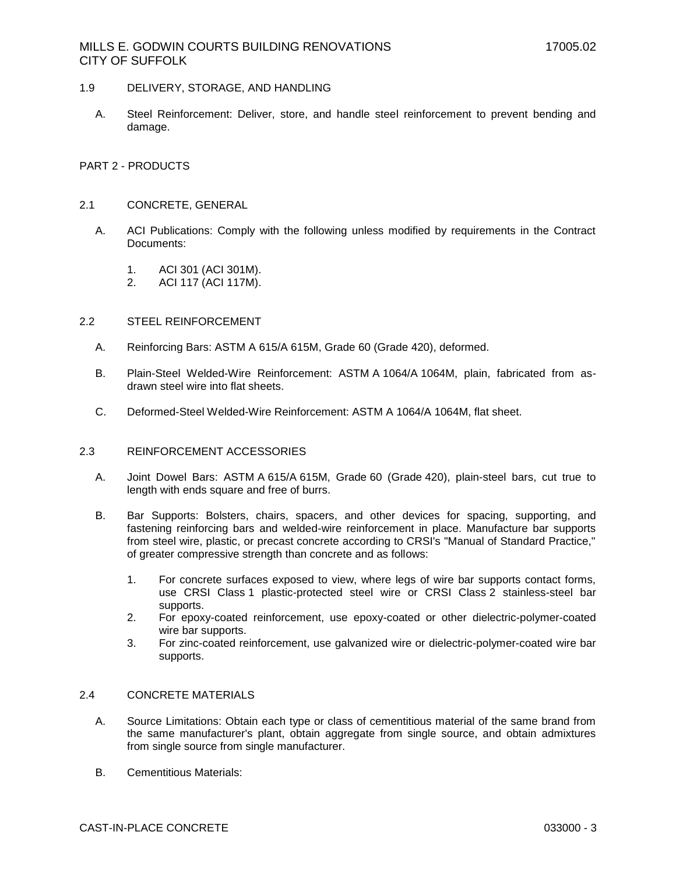- 1.9 DELIVERY, STORAGE, AND HANDLING
	- A. Steel Reinforcement: Deliver, store, and handle steel reinforcement to prevent bending and damage.

### PART 2 - PRODUCTS

### 2.1 CONCRETE, GENERAL

- A. ACI Publications: Comply with the following unless modified by requirements in the Contract Documents:
	- 1. ACI 301 (ACI 301M).
	- 2. ACI 117 (ACI 117M).

### 2.2 STEEL REINFORCEMENT

- A. Reinforcing Bars: ASTM A 615/A 615M, Grade 60 (Grade 420), deformed.
- B. Plain-Steel Welded-Wire Reinforcement: ASTM A 1064/A 1064M, plain, fabricated from asdrawn steel wire into flat sheets.
- C. Deformed-Steel Welded-Wire Reinforcement: ASTM A 1064/A 1064M, flat sheet.

### 2.3 REINFORCEMENT ACCESSORIES

- A. Joint Dowel Bars: ASTM A 615/A 615M, Grade 60 (Grade 420), plain-steel bars, cut true to length with ends square and free of burrs.
- B. Bar Supports: Bolsters, chairs, spacers, and other devices for spacing, supporting, and fastening reinforcing bars and welded-wire reinforcement in place. Manufacture bar supports from steel wire, plastic, or precast concrete according to CRSI's "Manual of Standard Practice," of greater compressive strength than concrete and as follows:
	- 1. For concrete surfaces exposed to view, where legs of wire bar supports contact forms, use CRSI Class 1 plastic-protected steel wire or CRSI Class 2 stainless-steel bar supports.
	- 2. For epoxy-coated reinforcement, use epoxy-coated or other dielectric-polymer-coated wire bar supports.
	- 3. For zinc-coated reinforcement, use galvanized wire or dielectric-polymer-coated wire bar supports.

# 2.4 CONCRETE MATERIALS

- A. Source Limitations: Obtain each type or class of cementitious material of the same brand from the same manufacturer's plant, obtain aggregate from single source, and obtain admixtures from single source from single manufacturer.
- B. Cementitious Materials: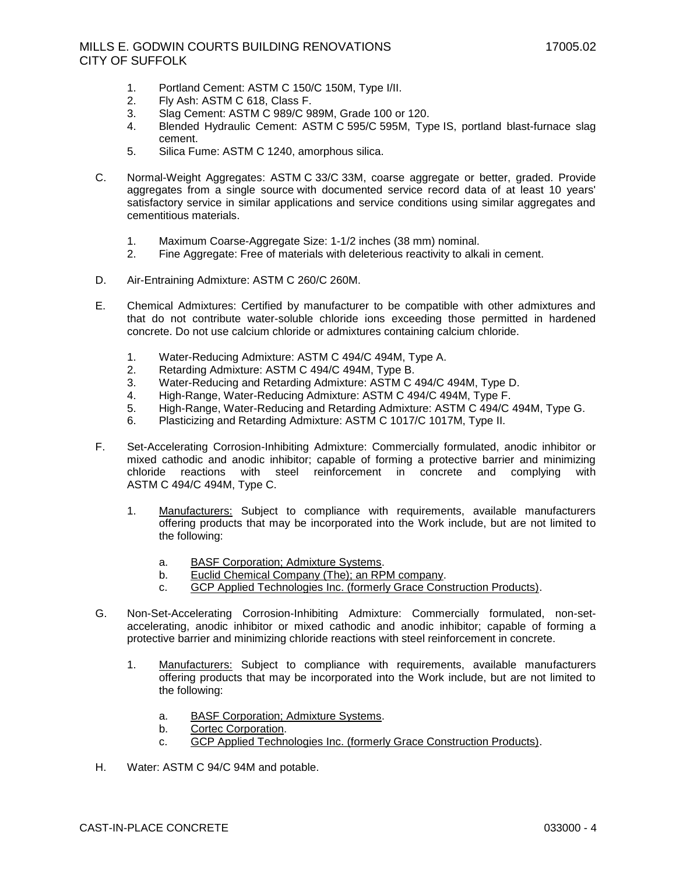- 1. Portland Cement: ASTM C 150/C 150M, Type I/II.
- 2. Fly Ash: ASTM C 618, Class F.
- 3. Slag Cement: ASTM C 989/C 989M, Grade 100 or 120.
- 4. Blended Hydraulic Cement: ASTM C 595/C 595M, Type IS, portland blast-furnace slag cement.
- 5. Silica Fume: ASTM C 1240, amorphous silica.
- C. Normal-Weight Aggregates: ASTM C 33/C 33M, coarse aggregate or better, graded. Provide aggregates from a single source with documented service record data of at least 10 years' satisfactory service in similar applications and service conditions using similar aggregates and cementitious materials.
	- 1. Maximum Coarse-Aggregate Size: 1-1/2 inches (38 mm) nominal.
	- 2. Fine Aggregate: Free of materials with deleterious reactivity to alkali in cement.
- D. Air-Entraining Admixture: ASTM C 260/C 260M.
- E. Chemical Admixtures: Certified by manufacturer to be compatible with other admixtures and that do not contribute water-soluble chloride ions exceeding those permitted in hardened concrete. Do not use calcium chloride or admixtures containing calcium chloride.
	- 1. Water-Reducing Admixture: ASTM C 494/C 494M, Type A.
	- 2. Retarding Admixture: ASTM C 494/C 494M, Type B.
	- 3. Water-Reducing and Retarding Admixture: ASTM C 494/C 494M, Type D.
	- 4. High-Range, Water-Reducing Admixture: ASTM C 494/C 494M, Type F.
	- 5. High-Range, Water-Reducing and Retarding Admixture: ASTM C 494/C 494M, Type G.
	- 6. Plasticizing and Retarding Admixture: ASTM C 1017/C 1017M, Type II.
- F. Set-Accelerating Corrosion-Inhibiting Admixture: Commercially formulated, anodic inhibitor or mixed cathodic and anodic inhibitor; capable of forming a protective barrier and minimizing chloride reactions with steel reinforcement in concrete and complying with ASTM C 494/C 494M, Type C.
	- 1. [Manufacturers:](http://www.specagent.com/Lookup?ulid=11005) Subject to compliance with requirements, available manufacturers offering products that may be incorporated into the Work include, but are not limited to the following:
		- a. [BASF Corporation; Admixture Systems.](http://www.specagent.com/Lookup?uid=123457102862)
		- b. [Euclid Chemical Company \(The\); an RPM company.](http://www.specagent.com/Lookup?uid=123456999290)
		- c. [GCP Applied Technologies Inc. \(formerly Grace Construction Products\).](http://www.specagent.com/Lookup?uid=123456999291)
- G. Non-Set-Accelerating Corrosion-Inhibiting Admixture: Commercially formulated, non-setaccelerating, anodic inhibitor or mixed cathodic and anodic inhibitor; capable of forming a protective barrier and minimizing chloride reactions with steel reinforcement in concrete.
	- 1. [Manufacturers:](http://www.specagent.com/Lookup?ulid=11006) Subject to compliance with requirements, available manufacturers offering products that may be incorporated into the Work include, but are not limited to the following:
		- a. [BASF Corporation; Admixture Systems.](http://www.specagent.com/Lookup?uid=123457102869)
		- b. [Cortec Corporation.](http://www.specagent.com/Lookup?uid=123456999293)
		- c. [GCP Applied Technologies Inc. \(formerly Grace Construction Products\).](http://www.specagent.com/Lookup?uid=123456999294)
- H. Water: ASTM C 94/C 94M and potable.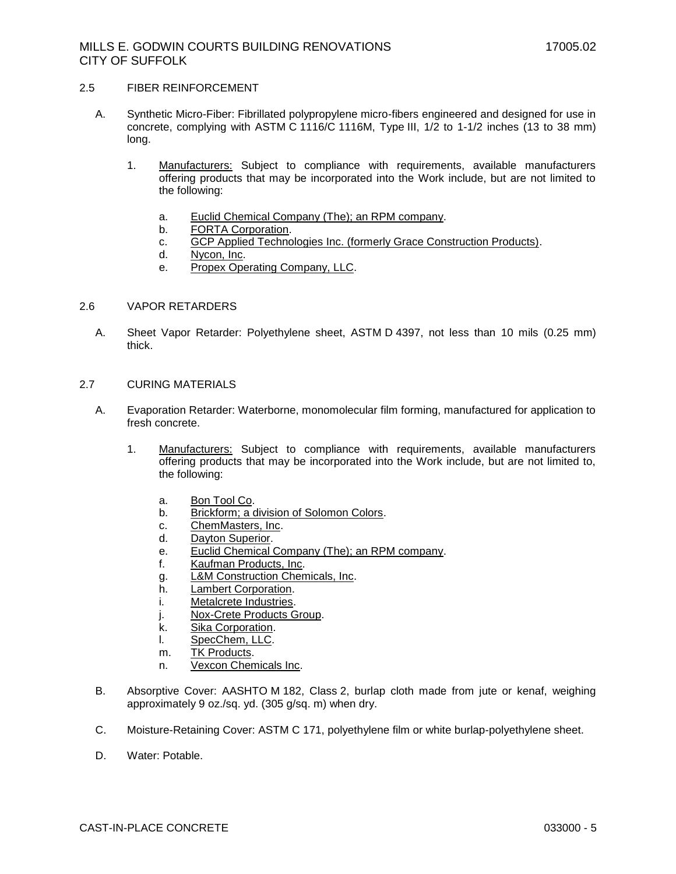### 2.5 FIBER REINFORCEMENT

- A. Synthetic Micro-Fiber: Fibrillated polypropylene micro-fibers engineered and designed for use in concrete, complying with ASTM C 1116/C 1116M, Type III, 1/2 to 1-1/2 inches (13 to 38 mm) long.
	- 1. [Manufacturers:](http://www.specagent.com/Lookup?ulid=11010) Subject to compliance with requirements, available manufacturers offering products that may be incorporated into the Work include, but are not limited to the following:
		- a. [Euclid Chemical Company \(The\); an RPM company.](http://www.specagent.com/Lookup?uid=123456999304)
		- b. [FORTA Corporation.](http://www.specagent.com/Lookup?uid=123456999305)
		- c. [GCP Applied Technologies Inc. \(formerly Grace Construction Products\).](http://www.specagent.com/Lookup?uid=123456999306)
		- d. [Nycon, Inc.](http://www.specagent.com/Lookup?uid=123456999307)
		- e. [Propex Operating Company, LLC.](http://www.specagent.com/Lookup?uid=123456999308)

#### 2.6 VAPOR RETARDERS

- A. Sheet Vapor Retarder: Polyethylene sheet, ASTM D 4397, not less than 10 mils (0.25 mm) thick.
- 2.7 CURING MATERIALS
	- A. Evaporation Retarder: Waterborne, monomolecular film forming, manufactured for application to fresh concrete.
		- 1. [Manufacturers:](http://www.specagent.com/Lookup?ulid=11025) Subject to compliance with requirements, available manufacturers offering products that may be incorporated into the Work include, but are not limited to, the following:
			- a. [Bon Tool Co.](http://www.specagent.com/Lookup?uid=123456999203)
			- b. [Brickform; a division of Solomon Colors.](http://www.specagent.com/Lookup?uid=123456999204)
			- c. [ChemMasters, Inc.](http://www.specagent.com/Lookup?uid=123456999189)
			- d. [Dayton Superior.](http://www.specagent.com/Lookup?uid=123456999190)
			- e. [Euclid Chemical Company \(The\); an RPM company.](http://www.specagent.com/Lookup?uid=123456999191)
			- f. [Kaufman Products, Inc.](http://www.specagent.com/Lookup?uid=123456999192)
			- g. [L&M Construction Chemicals, Inc.](http://www.specagent.com/Lookup?uid=123456999193)
			- h. [Lambert Corporation.](http://www.specagent.com/Lookup?uid=123456999194)
			- i. [Metalcrete Industries.](http://www.specagent.com/Lookup?uid=123456999196)
			- j. [Nox-Crete Products Group.](http://www.specagent.com/Lookup?uid=123456999197)
			- k. [Sika Corporation.](http://www.specagent.com/Lookup?uid=123456999187)
			- l. [SpecChem, LLC.](http://www.specagent.com/Lookup?uid=123456999198)
			- m. [TK Products.](http://www.specagent.com/Lookup?uid=123456999200)
			- n. [Vexcon Chemicals Inc.](http://www.specagent.com/Lookup?uid=123456999202)
	- B. Absorptive Cover: AASHTO M 182, Class 2, burlap cloth made from jute or kenaf, weighing approximately 9 oz./sq. yd. (305 g/sq. m) when dry.
	- C. Moisture-Retaining Cover: ASTM C 171, polyethylene film or white burlap-polyethylene sheet.
	- D. Water: Potable.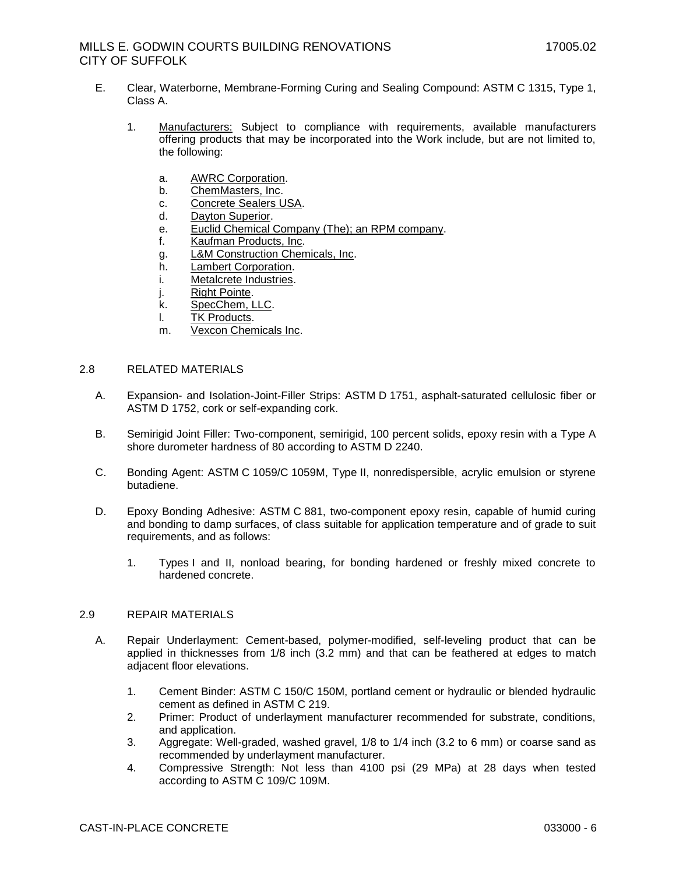- E. Clear, Waterborne, Membrane-Forming Curing and Sealing Compound: ASTM C 1315, Type 1, Class A.
	- 1. [Manufacturers:](http://www.specagent.com/Lookup?ulid=1189) Subject to compliance with requirements, available manufacturers offering products that may be incorporated into the Work include, but are not limited to, the following:
		- a. [AWRC Corporation.](http://www.specagent.com/Lookup?uid=123457014062)
		- b. [ChemMasters, Inc.](http://www.specagent.com/Lookup?uid=123456999153)
		- c. [Concrete Sealers USA.](http://www.specagent.com/Lookup?uid=123457100721)
		- d. [Dayton Superior.](http://www.specagent.com/Lookup?uid=123456999154)
		- e. [Euclid Chemical Company \(The\); an RPM company.](http://www.specagent.com/Lookup?uid=123456999155)
		- f. [Kaufman Products, Inc.](http://www.specagent.com/Lookup?uid=123456999156)
		- g. [L&M Construction Chemicals, Inc.](http://www.specagent.com/Lookup?uid=123456999158)
		- h. [Lambert Corporation.](http://www.specagent.com/Lookup?uid=123456999157)
		- i. [Metalcrete Industries.](http://www.specagent.com/Lookup?uid=123456999161)
		- j. [Right Pointe.](http://www.specagent.com/Lookup?uid=123456999162)
		- k. [SpecChem, LLC.](http://www.specagent.com/Lookup?uid=123456999165)
		- l. [TK Products.](http://www.specagent.com/Lookup?uid=123456999166)
		- m. [Vexcon Chemicals Inc.](http://www.specagent.com/Lookup?uid=123456999164)

### 2.8 RELATED MATERIALS

- A. Expansion- and Isolation-Joint-Filler Strips: ASTM D 1751, asphalt-saturated cellulosic fiber or ASTM D 1752, cork or self-expanding cork.
- B. Semirigid Joint Filler: Two-component, semirigid, 100 percent solids, epoxy resin with a Type A shore durometer hardness of 80 according to ASTM D 2240.
- C. Bonding Agent: ASTM C 1059/C 1059M, Type II, nonredispersible, acrylic emulsion or styrene butadiene.
- D. Epoxy Bonding Adhesive: ASTM C 881, two-component epoxy resin, capable of humid curing and bonding to damp surfaces, of class suitable for application temperature and of grade to suit requirements, and as follows:
	- 1. Types I and II, nonload bearing, for bonding hardened or freshly mixed concrete to hardened concrete.

# 2.9 REPAIR MATERIALS

- A. Repair Underlayment: Cement-based, polymer-modified, self-leveling product that can be applied in thicknesses from 1/8 inch (3.2 mm) and that can be feathered at edges to match adjacent floor elevations.
	- 1. Cement Binder: ASTM C 150/C 150M, portland cement or hydraulic or blended hydraulic cement as defined in ASTM C 219.
	- 2. Primer: Product of underlayment manufacturer recommended for substrate, conditions, and application.
	- 3. Aggregate: Well-graded, washed gravel, 1/8 to 1/4 inch (3.2 to 6 mm) or coarse sand as recommended by underlayment manufacturer.
	- 4. Compressive Strength: Not less than 4100 psi (29 MPa) at 28 days when tested according to ASTM C 109/C 109M.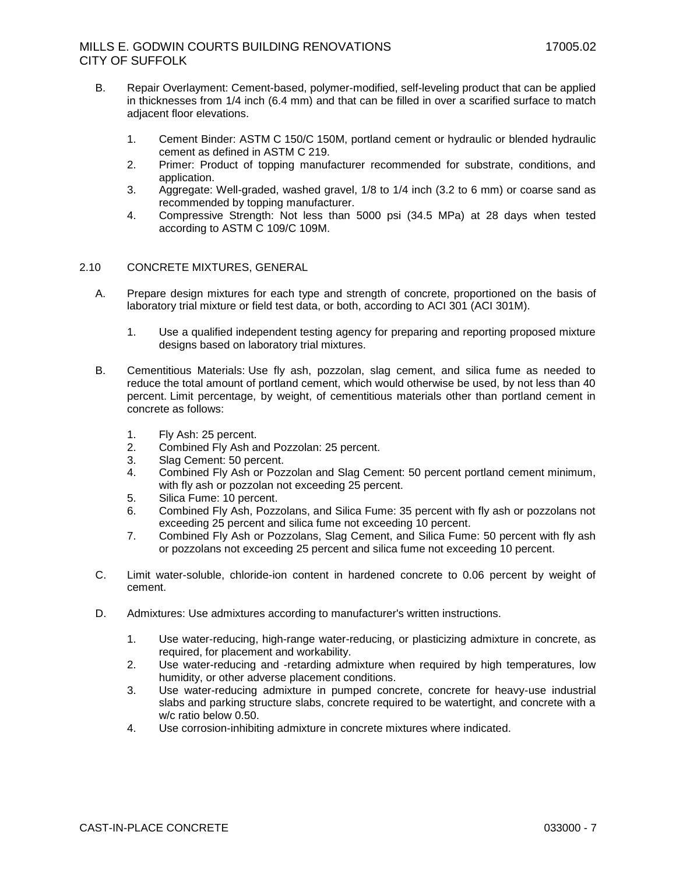- B. Repair Overlayment: Cement-based, polymer-modified, self-leveling product that can be applied in thicknesses from 1/4 inch (6.4 mm) and that can be filled in over a scarified surface to match adjacent floor elevations.
	- 1. Cement Binder: ASTM C 150/C 150M, portland cement or hydraulic or blended hydraulic cement as defined in ASTM C 219.
	- 2. Primer: Product of topping manufacturer recommended for substrate, conditions, and application.
	- 3. Aggregate: Well-graded, washed gravel, 1/8 to 1/4 inch (3.2 to 6 mm) or coarse sand as recommended by topping manufacturer.
	- 4. Compressive Strength: Not less than 5000 psi (34.5 MPa) at 28 days when tested according to ASTM C 109/C 109M.

# 2.10 CONCRETE MIXTURES, GENERAL

- A. Prepare design mixtures for each type and strength of concrete, proportioned on the basis of laboratory trial mixture or field test data, or both, according to ACI 301 (ACI 301M).
	- 1. Use a qualified independent testing agency for preparing and reporting proposed mixture designs based on laboratory trial mixtures.
- B. Cementitious Materials: Use fly ash, pozzolan, slag cement, and silica fume as needed to reduce the total amount of portland cement, which would otherwise be used, by not less than 40 percent. Limit percentage, by weight, of cementitious materials other than portland cement in concrete as follows:
	- 1. Fly Ash: 25 percent.
	- 2. Combined Fly Ash and Pozzolan: 25 percent.
	- 3. Slag Cement: 50 percent.
	- 4. Combined Fly Ash or Pozzolan and Slag Cement: 50 percent portland cement minimum, with fly ash or pozzolan not exceeding 25 percent.
	- 5. Silica Fume: 10 percent.
	- 6. Combined Fly Ash, Pozzolans, and Silica Fume: 35 percent with fly ash or pozzolans not exceeding 25 percent and silica fume not exceeding 10 percent.
	- 7. Combined Fly Ash or Pozzolans, Slag Cement, and Silica Fume: 50 percent with fly ash or pozzolans not exceeding 25 percent and silica fume not exceeding 10 percent.
- C. Limit water-soluble, chloride-ion content in hardened concrete to 0.06 percent by weight of cement.
- D. Admixtures: Use admixtures according to manufacturer's written instructions.
	- 1. Use water-reducing, high-range water-reducing, or plasticizing admixture in concrete, as required, for placement and workability.
	- 2. Use water-reducing and -retarding admixture when required by high temperatures, low humidity, or other adverse placement conditions.
	- 3. Use water-reducing admixture in pumped concrete, concrete for heavy-use industrial slabs and parking structure slabs, concrete required to be watertight, and concrete with a w/c ratio below 0.50.
	- 4. Use corrosion-inhibiting admixture in concrete mixtures where indicated.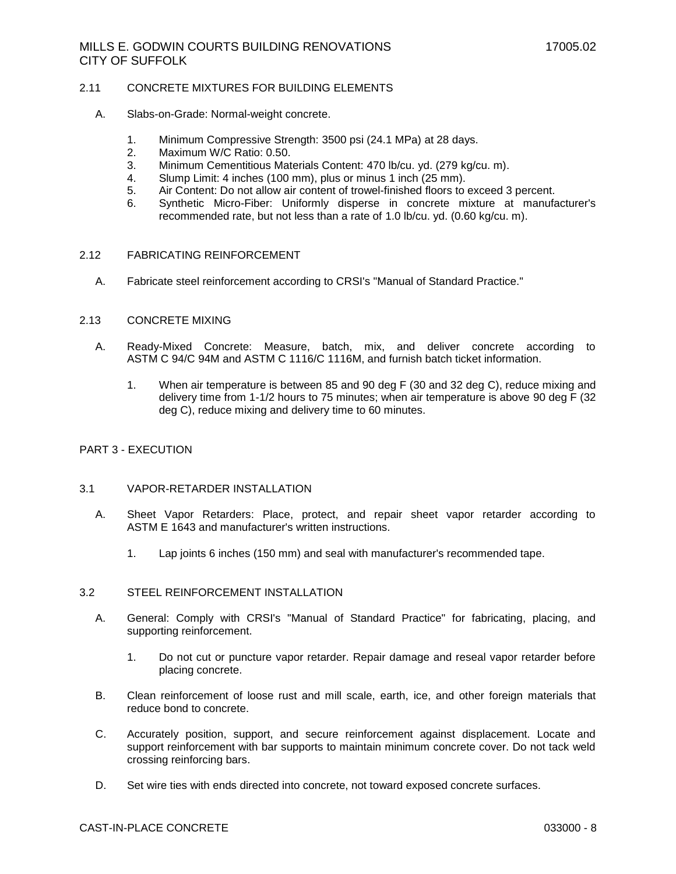### 2.11 CONCRETE MIXTURES FOR BUILDING ELEMENTS

- A. Slabs-on-Grade: Normal-weight concrete.
	- 1. Minimum Compressive Strength: 3500 psi (24.1 MPa) at 28 days.
	- 2. Maximum W/C Ratio: 0.50.
	- 3. Minimum Cementitious Materials Content: 470 lb/cu. yd. (279 kg/cu. m).
	- 4. Slump Limit: 4 inches (100 mm), plus or minus 1 inch (25 mm).
	- 5. Air Content: Do not allow air content of trowel-finished floors to exceed 3 percent.
	- 6. Synthetic Micro-Fiber: Uniformly disperse in concrete mixture at manufacturer's recommended rate, but not less than a rate of 1.0 lb/cu. yd. (0.60 kg/cu. m).

#### 2.12 FABRICATING REINFORCEMENT

A. Fabricate steel reinforcement according to CRSI's "Manual of Standard Practice."

#### 2.13 CONCRETE MIXING

- A. Ready-Mixed Concrete: Measure, batch, mix, and deliver concrete according to ASTM C 94/C 94M and ASTM C 1116/C 1116M, and furnish batch ticket information.
	- 1. When air temperature is between 85 and 90 deg F (30 and 32 deg C), reduce mixing and delivery time from 1-1/2 hours to 75 minutes; when air temperature is above 90 deg F (32 deg C), reduce mixing and delivery time to 60 minutes.

### PART 3 - EXECUTION

# 3.1 VAPOR-RETARDER INSTALLATION

- A. Sheet Vapor Retarders: Place, protect, and repair sheet vapor retarder according to ASTM E 1643 and manufacturer's written instructions.
	- 1. Lap joints 6 inches (150 mm) and seal with manufacturer's recommended tape.

### 3.2 STEEL REINFORCEMENT INSTALLATION

- A. General: Comply with CRSI's "Manual of Standard Practice" for fabricating, placing, and supporting reinforcement.
	- 1. Do not cut or puncture vapor retarder. Repair damage and reseal vapor retarder before placing concrete.
- B. Clean reinforcement of loose rust and mill scale, earth, ice, and other foreign materials that reduce bond to concrete.
- C. Accurately position, support, and secure reinforcement against displacement. Locate and support reinforcement with bar supports to maintain minimum concrete cover. Do not tack weld crossing reinforcing bars.
- D. Set wire ties with ends directed into concrete, not toward exposed concrete surfaces.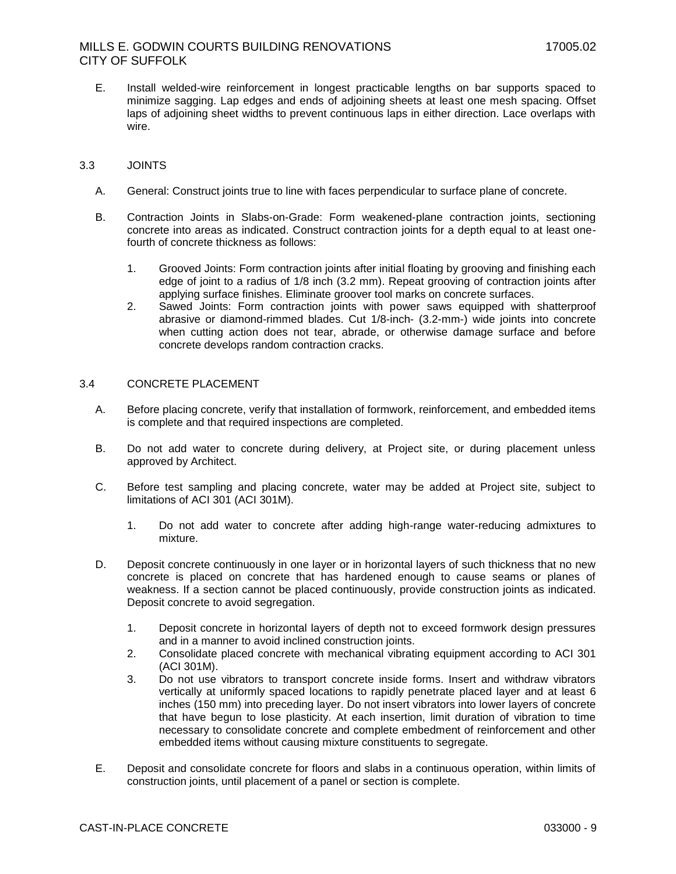E. Install welded-wire reinforcement in longest practicable lengths on bar supports spaced to minimize sagging. Lap edges and ends of adjoining sheets at least one mesh spacing. Offset laps of adjoining sheet widths to prevent continuous laps in either direction. Lace overlaps with wire.

# 3.3 JOINTS

- A. General: Construct joints true to line with faces perpendicular to surface plane of concrete.
- B. Contraction Joints in Slabs-on-Grade: Form weakened-plane contraction joints, sectioning concrete into areas as indicated. Construct contraction joints for a depth equal to at least onefourth of concrete thickness as follows:
	- 1. Grooved Joints: Form contraction joints after initial floating by grooving and finishing each edge of joint to a radius of 1/8 inch (3.2 mm). Repeat grooving of contraction joints after applying surface finishes. Eliminate groover tool marks on concrete surfaces.
	- 2. Sawed Joints: Form contraction joints with power saws equipped with shatterproof abrasive or diamond-rimmed blades. Cut 1/8-inch- (3.2-mm-) wide joints into concrete when cutting action does not tear, abrade, or otherwise damage surface and before concrete develops random contraction cracks.

#### 3.4 CONCRETE PLACEMENT

- A. Before placing concrete, verify that installation of formwork, reinforcement, and embedded items is complete and that required inspections are completed.
- B. Do not add water to concrete during delivery, at Project site, or during placement unless approved by Architect.
- C. Before test sampling and placing concrete, water may be added at Project site, subject to limitations of ACI 301 (ACI 301M).
	- 1. Do not add water to concrete after adding high-range water-reducing admixtures to mixture.
- D. Deposit concrete continuously in one layer or in horizontal layers of such thickness that no new concrete is placed on concrete that has hardened enough to cause seams or planes of weakness. If a section cannot be placed continuously, provide construction joints as indicated. Deposit concrete to avoid segregation.
	- 1. Deposit concrete in horizontal layers of depth not to exceed formwork design pressures and in a manner to avoid inclined construction joints.
	- 2. Consolidate placed concrete with mechanical vibrating equipment according to ACI 301 (ACI 301M).
	- 3. Do not use vibrators to transport concrete inside forms. Insert and withdraw vibrators vertically at uniformly spaced locations to rapidly penetrate placed layer and at least 6 inches (150 mm) into preceding layer. Do not insert vibrators into lower layers of concrete that have begun to lose plasticity. At each insertion, limit duration of vibration to time necessary to consolidate concrete and complete embedment of reinforcement and other embedded items without causing mixture constituents to segregate.
- E. Deposit and consolidate concrete for floors and slabs in a continuous operation, within limits of construction joints, until placement of a panel or section is complete.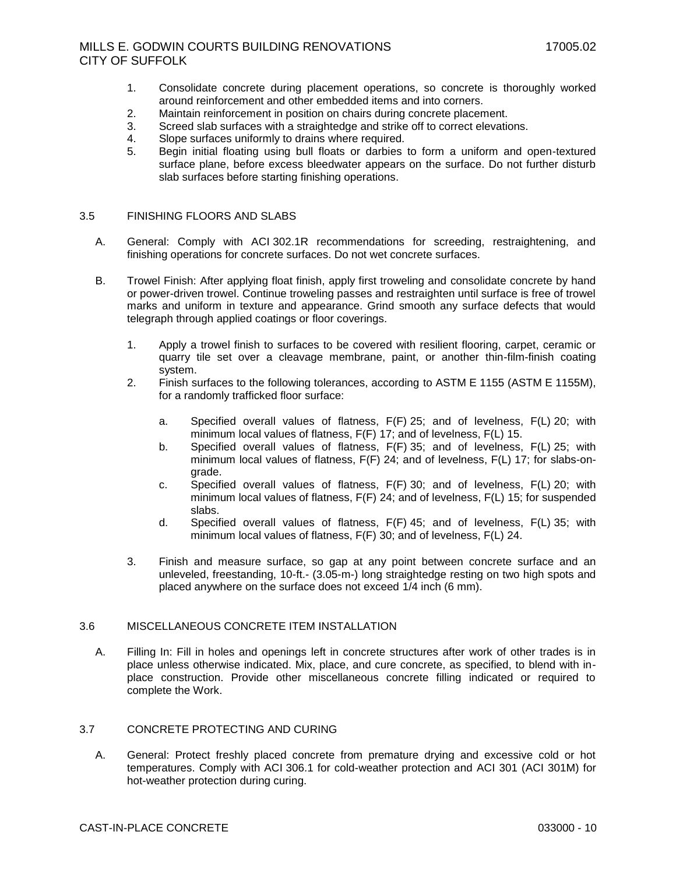- 1. Consolidate concrete during placement operations, so concrete is thoroughly worked around reinforcement and other embedded items and into corners.
- 2. Maintain reinforcement in position on chairs during concrete placement.
- 3. Screed slab surfaces with a straightedge and strike off to correct elevations.
- 4. Slope surfaces uniformly to drains where required.
- 5. Begin initial floating using bull floats or darbies to form a uniform and open-textured surface plane, before excess bleedwater appears on the surface. Do not further disturb slab surfaces before starting finishing operations.

### 3.5 FINISHING FLOORS AND SLABS

- A. General: Comply with ACI 302.1R recommendations for screeding, restraightening, and finishing operations for concrete surfaces. Do not wet concrete surfaces.
- B. Trowel Finish: After applying float finish, apply first troweling and consolidate concrete by hand or power-driven trowel. Continue troweling passes and restraighten until surface is free of trowel marks and uniform in texture and appearance. Grind smooth any surface defects that would telegraph through applied coatings or floor coverings.
	- 1. Apply a trowel finish to surfaces to be covered with resilient flooring, carpet, ceramic or quarry tile set over a cleavage membrane, paint, or another thin-film-finish coating system.
	- 2. Finish surfaces to the following tolerances, according to ASTM E 1155 (ASTM E 1155M), for a randomly trafficked floor surface:
		- a. Specified overall values of flatness, F(F) 25; and of levelness, F(L) 20; with minimum local values of flatness, F(F) 17; and of levelness, F(L) 15.
		- b. Specified overall values of flatness, F(F) 35; and of levelness, F(L) 25; with minimum local values of flatness, F(F) 24; and of levelness, F(L) 17; for slabs-ongrade.
		- c. Specified overall values of flatness, F(F) 30; and of levelness, F(L) 20; with minimum local values of flatness, F(F) 24; and of levelness, F(L) 15; for suspended slabs.
		- d. Specified overall values of flatness, F(F) 45; and of levelness, F(L) 35; with minimum local values of flatness, F(F) 30; and of levelness, F(L) 24.
	- 3. Finish and measure surface, so gap at any point between concrete surface and an unleveled, freestanding, 10-ft.- (3.05-m-) long straightedge resting on two high spots and placed anywhere on the surface does not exceed 1/4 inch (6 mm).

### 3.6 MISCELLANEOUS CONCRETE ITEM INSTALLATION

A. Filling In: Fill in holes and openings left in concrete structures after work of other trades is in place unless otherwise indicated. Mix, place, and cure concrete, as specified, to blend with inplace construction. Provide other miscellaneous concrete filling indicated or required to complete the Work.

## 3.7 CONCRETE PROTECTING AND CURING

A. General: Protect freshly placed concrete from premature drying and excessive cold or hot temperatures. Comply with ACI 306.1 for cold-weather protection and ACI 301 (ACI 301M) for hot-weather protection during curing.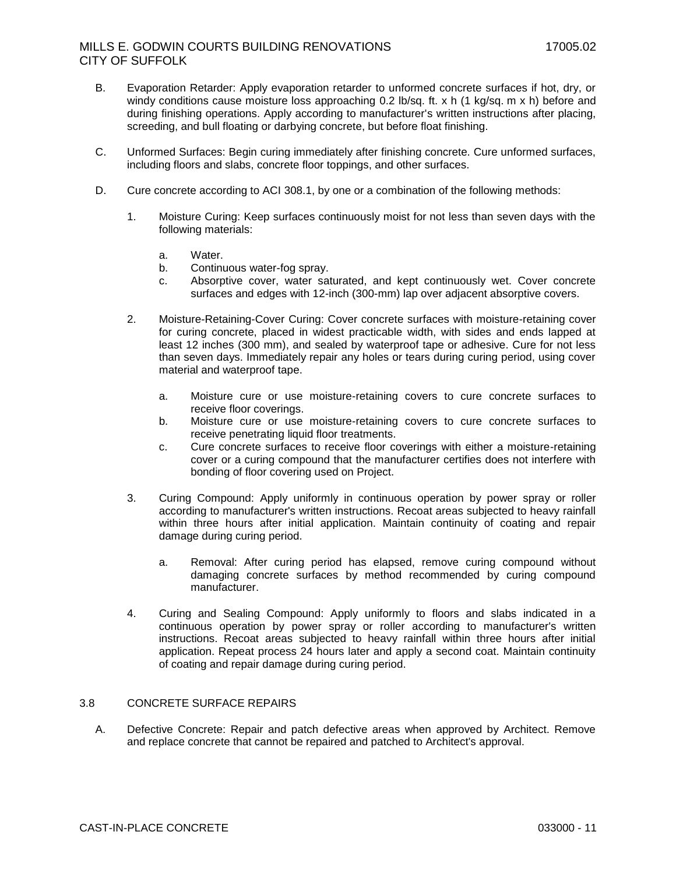- B. Evaporation Retarder: Apply evaporation retarder to unformed concrete surfaces if hot, dry, or windy conditions cause moisture loss approaching 0.2 lb/sq. ft. x h (1 kg/sq. m x h) before and during finishing operations. Apply according to manufacturer's written instructions after placing, screeding, and bull floating or darbying concrete, but before float finishing.
- C. Unformed Surfaces: Begin curing immediately after finishing concrete. Cure unformed surfaces, including floors and slabs, concrete floor toppings, and other surfaces.
- D. Cure concrete according to ACI 308.1, by one or a combination of the following methods:
	- 1. Moisture Curing: Keep surfaces continuously moist for not less than seven days with the following materials:
		- a. Water.
		- b. Continuous water-fog spray.
		- c. Absorptive cover, water saturated, and kept continuously wet. Cover concrete surfaces and edges with 12-inch (300-mm) lap over adjacent absorptive covers.
	- 2. Moisture-Retaining-Cover Curing: Cover concrete surfaces with moisture-retaining cover for curing concrete, placed in widest practicable width, with sides and ends lapped at least 12 inches (300 mm), and sealed by waterproof tape or adhesive. Cure for not less than seven days. Immediately repair any holes or tears during curing period, using cover material and waterproof tape.
		- a. Moisture cure or use moisture-retaining covers to cure concrete surfaces to receive floor coverings.
		- b. Moisture cure or use moisture-retaining covers to cure concrete surfaces to receive penetrating liquid floor treatments.
		- c. Cure concrete surfaces to receive floor coverings with either a moisture-retaining cover or a curing compound that the manufacturer certifies does not interfere with bonding of floor covering used on Project.
	- 3. Curing Compound: Apply uniformly in continuous operation by power spray or roller according to manufacturer's written instructions. Recoat areas subjected to heavy rainfall within three hours after initial application. Maintain continuity of coating and repair damage during curing period.
		- a. Removal: After curing period has elapsed, remove curing compound without damaging concrete surfaces by method recommended by curing compound manufacturer.
	- 4. Curing and Sealing Compound: Apply uniformly to floors and slabs indicated in a continuous operation by power spray or roller according to manufacturer's written instructions. Recoat areas subjected to heavy rainfall within three hours after initial application. Repeat process 24 hours later and apply a second coat. Maintain continuity of coating and repair damage during curing period.

# 3.8 CONCRETE SURFACE REPAIRS

A. Defective Concrete: Repair and patch defective areas when approved by Architect. Remove and replace concrete that cannot be repaired and patched to Architect's approval.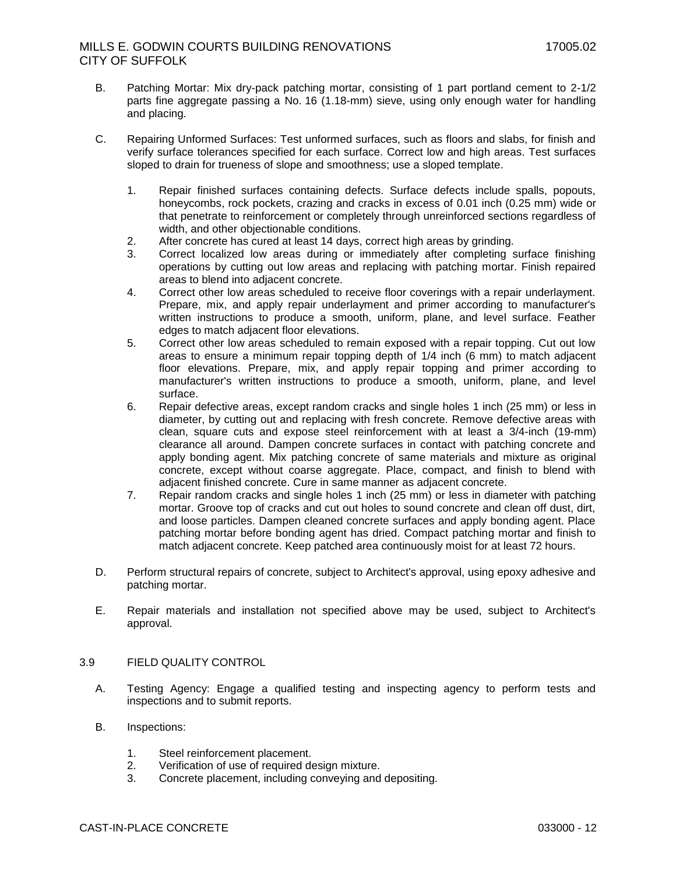- B. Patching Mortar: Mix dry-pack patching mortar, consisting of 1 part portland cement to 2-1/2 parts fine aggregate passing a No. 16 (1.18-mm) sieve, using only enough water for handling and placing.
- C. Repairing Unformed Surfaces: Test unformed surfaces, such as floors and slabs, for finish and verify surface tolerances specified for each surface. Correct low and high areas. Test surfaces sloped to drain for trueness of slope and smoothness; use a sloped template.
	- 1. Repair finished surfaces containing defects. Surface defects include spalls, popouts, honeycombs, rock pockets, crazing and cracks in excess of 0.01 inch (0.25 mm) wide or that penetrate to reinforcement or completely through unreinforced sections regardless of width, and other objectionable conditions.
	- 2. After concrete has cured at least 14 days, correct high areas by grinding.
	- 3. Correct localized low areas during or immediately after completing surface finishing operations by cutting out low areas and replacing with patching mortar. Finish repaired areas to blend into adjacent concrete.
	- 4. Correct other low areas scheduled to receive floor coverings with a repair underlayment. Prepare, mix, and apply repair underlayment and primer according to manufacturer's written instructions to produce a smooth, uniform, plane, and level surface. Feather edges to match adjacent floor elevations.
	- 5. Correct other low areas scheduled to remain exposed with a repair topping. Cut out low areas to ensure a minimum repair topping depth of 1/4 inch (6 mm) to match adjacent floor elevations. Prepare, mix, and apply repair topping and primer according to manufacturer's written instructions to produce a smooth, uniform, plane, and level surface.
	- 6. Repair defective areas, except random cracks and single holes 1 inch (25 mm) or less in diameter, by cutting out and replacing with fresh concrete. Remove defective areas with clean, square cuts and expose steel reinforcement with at least a 3/4-inch (19-mm) clearance all around. Dampen concrete surfaces in contact with patching concrete and apply bonding agent. Mix patching concrete of same materials and mixture as original concrete, except without coarse aggregate. Place, compact, and finish to blend with adjacent finished concrete. Cure in same manner as adjacent concrete.
	- 7. Repair random cracks and single holes 1 inch (25 mm) or less in diameter with patching mortar. Groove top of cracks and cut out holes to sound concrete and clean off dust, dirt, and loose particles. Dampen cleaned concrete surfaces and apply bonding agent. Place patching mortar before bonding agent has dried. Compact patching mortar and finish to match adjacent concrete. Keep patched area continuously moist for at least 72 hours.
- D. Perform structural repairs of concrete, subject to Architect's approval, using epoxy adhesive and patching mortar.
- E. Repair materials and installation not specified above may be used, subject to Architect's approval.

## 3.9 FIELD QUALITY CONTROL

- A. Testing Agency: Engage a qualified testing and inspecting agency to perform tests and inspections and to submit reports.
- B. Inspections:
	- 1. Steel reinforcement placement.
	- 2. Verification of use of required design mixture.
	- 3. Concrete placement, including conveying and depositing.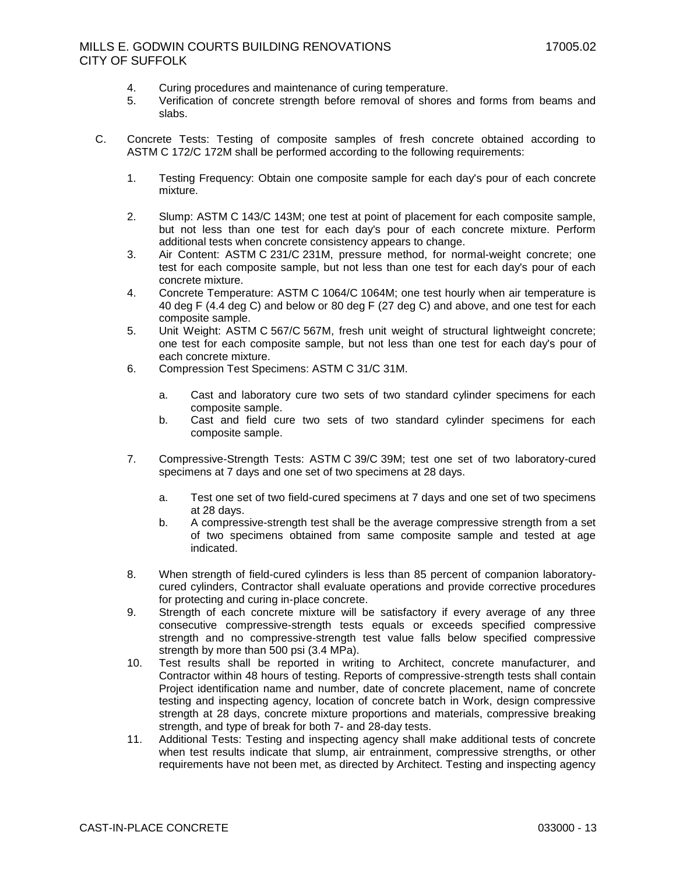- 4. Curing procedures and maintenance of curing temperature.
- 5. Verification of concrete strength before removal of shores and forms from beams and slabs.
- C. Concrete Tests: Testing of composite samples of fresh concrete obtained according to ASTM C 172/C 172M shall be performed according to the following requirements:
	- 1. Testing Frequency: Obtain one composite sample for each day's pour of each concrete mixture.
	- 2. Slump: ASTM C 143/C 143M; one test at point of placement for each composite sample, but not less than one test for each day's pour of each concrete mixture. Perform additional tests when concrete consistency appears to change.
	- 3. Air Content: ASTM C 231/C 231M, pressure method, for normal-weight concrete; one test for each composite sample, but not less than one test for each day's pour of each concrete mixture.
	- 4. Concrete Temperature: ASTM C 1064/C 1064M; one test hourly when air temperature is 40 deg F (4.4 deg C) and below or 80 deg F (27 deg C) and above, and one test for each composite sample.
	- 5. Unit Weight: ASTM C 567/C 567M, fresh unit weight of structural lightweight concrete; one test for each composite sample, but not less than one test for each day's pour of each concrete mixture.
	- 6. Compression Test Specimens: ASTM C 31/C 31M.
		- a. Cast and laboratory cure two sets of two standard cylinder specimens for each composite sample.
		- b. Cast and field cure two sets of two standard cylinder specimens for each composite sample.
	- 7. Compressive-Strength Tests: ASTM C 39/C 39M; test one set of two laboratory-cured specimens at 7 days and one set of two specimens at 28 days.
		- a. Test one set of two field-cured specimens at 7 days and one set of two specimens at 28 days.
		- b. A compressive-strength test shall be the average compressive strength from a set of two specimens obtained from same composite sample and tested at age indicated.
	- 8. When strength of field-cured cylinders is less than 85 percent of companion laboratorycured cylinders, Contractor shall evaluate operations and provide corrective procedures for protecting and curing in-place concrete.
	- 9. Strength of each concrete mixture will be satisfactory if every average of any three consecutive compressive-strength tests equals or exceeds specified compressive strength and no compressive-strength test value falls below specified compressive strength by more than 500 psi (3.4 MPa).
	- 10. Test results shall be reported in writing to Architect, concrete manufacturer, and Contractor within 48 hours of testing. Reports of compressive-strength tests shall contain Project identification name and number, date of concrete placement, name of concrete testing and inspecting agency, location of concrete batch in Work, design compressive strength at 28 days, concrete mixture proportions and materials, compressive breaking strength, and type of break for both 7- and 28-day tests.
	- 11. Additional Tests: Testing and inspecting agency shall make additional tests of concrete when test results indicate that slump, air entrainment, compressive strengths, or other requirements have not been met, as directed by Architect. Testing and inspecting agency